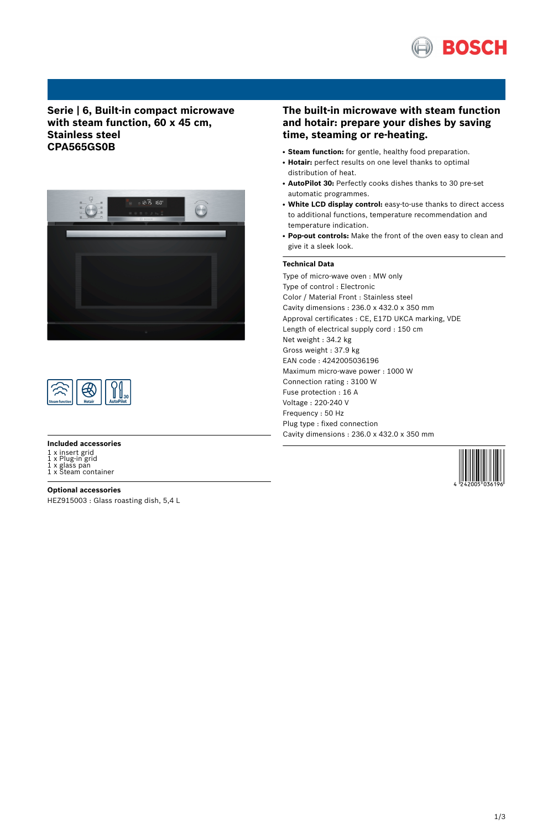

## **Serie | 6, Built-in compact microwave with steam function, 60 x 45 cm, Stainless steel CPA565GS0B**





#### **Included accessories**

- 1 x insert grid
- 

1 x Plug-in grid 1 x glass pan 1 x Steam container

**Optional accessories** HEZ915003 : Glass roasting dish, 5,4 L

## **The built-in microwave with steam function and hotair: prepare your dishes by saving time, steaming or re-heating.**

- **Steam function:** for gentle, healthy food preparation.
- Hotair: perfect results on one level thanks to optimal distribution of heat.
- **AutoPilot 30:** Perfectly cooks dishes thanks to 30 pre-set automatic programmes.
- **White LCD display control:** easy-to-use thanks to direct access to additional functions, temperature recommendation and temperature indication.
- **Pop-out controls:** Make the front of the oven easy to clean and give it a sleek look.

## **Technical Data**

Type of micro-wave oven : MW only Type of control : Electronic Color / Material Front : Stainless steel Cavity dimensions : 236.0 x 432.0 x 350 mm Approval certificates : CE, E17D UKCA marking, VDE Length of electrical supply cord : 150 cm Net weight : 34.2 kg Gross weight : 37.9 kg EAN code : 4242005036196 Maximum micro-wave power : 1000 W Connection rating : 3100 W Fuse protection : 16 A Voltage : 220-240 V Frequency : 50 Hz Plug type : fixed connection Cavity dimensions : 236.0 x 432.0 x 350 mm

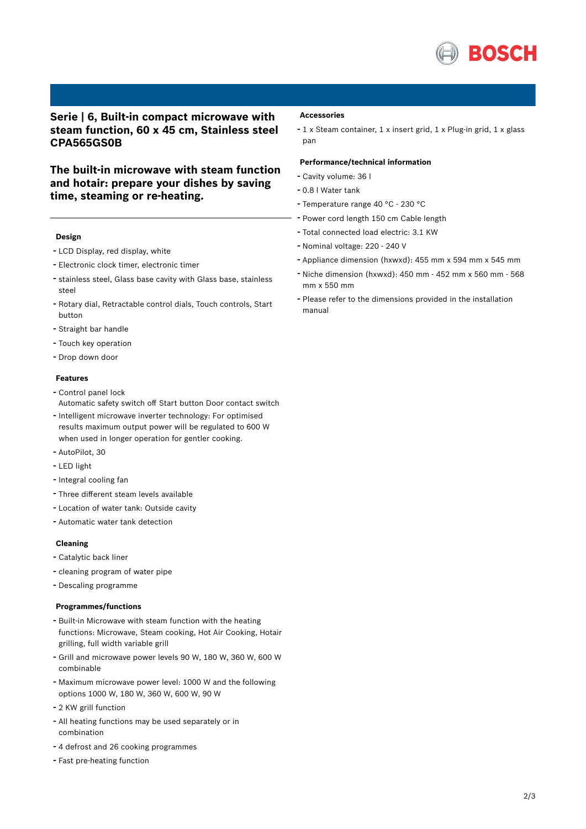

## **Serie | 6, Built-in compact microwave with steam function, 60 x 45 cm, Stainless steel CPA565GS0B**

**The built-in microwave with steam function and hotair: prepare your dishes by saving time, steaming or re-heating.**

### **Design**

- LCD Display, red display, white
- Electronic clock timer, electronic timer
- stainless steel, Glass base cavity with Glass base, stainless steel
- Rotary dial, Retractable control dials, Touch controls, Start button
- Straight bar handle
- Touch key operation
- Drop down door

#### **Features**

- Control panel lock
- Automatic safety switch off Start button Door contact switch
- Intelligent microwave inverter technology: For optimised results maximum output power will be regulated to 600 W when used in longer operation for gentler cooking.
- AutoPilot, <sup>30</sup>
- LED light
- Integral cooling fan
- Three different steam levels available
- Location of water tank: Outside cavity
- Automatic water tank detection

### **Cleaning**

- Catalytic back liner
- cleaning program of water pipe
- Descaling programme

### **Programmes/functions**

- Built-in Microwave with steam function with the heating functions: Microwave, Steam cooking, Hot Air Cooking, Hotair grilling, full width variable grill
- Grill and microwave power levels <sup>90</sup> W, <sup>180</sup> W, <sup>360</sup> W, <sup>600</sup> <sup>W</sup> combinable
- Maximum microwave power level: <sup>1000</sup> <sup>W</sup> and the following options 1000 W, 180 W, 360 W, 600 W, 90 W
- <sup>2</sup> KW grill function
- All heating functions may be used separately or in combination
- <sup>4</sup> defrost and <sup>26</sup> cooking programmes
- Fast pre-heating function

#### **Accessories**

- <sup>1</sup> <sup>x</sup> Steam container, <sup>1</sup> <sup>x</sup> insert grid, <sup>1</sup> <sup>x</sup> Plug-in grid, <sup>1</sup> <sup>x</sup> glass pan

### **Performance/technical information**

- Cavity volume: <sup>36</sup> <sup>l</sup>
- 0.8 <sup>l</sup> Water tank
- Temperature range <sup>40</sup> °C <sup>230</sup> °C
- Power cord length <sup>150</sup> cm Cable length
- Total connected load electric: 3.1 KW
- Nominal voltage: <sup>220</sup> <sup>240</sup> <sup>V</sup>
- Appliance dimension (hxwxd): 455 mm x 594 mm x 545 mm
- Niche dimension (hxwxd): <sup>450</sup> mm <sup>452</sup> mm <sup>x</sup> <sup>560</sup> mm <sup>568</sup> mm x 550 mm
- Please refer to the dimensions provided in the installation manual